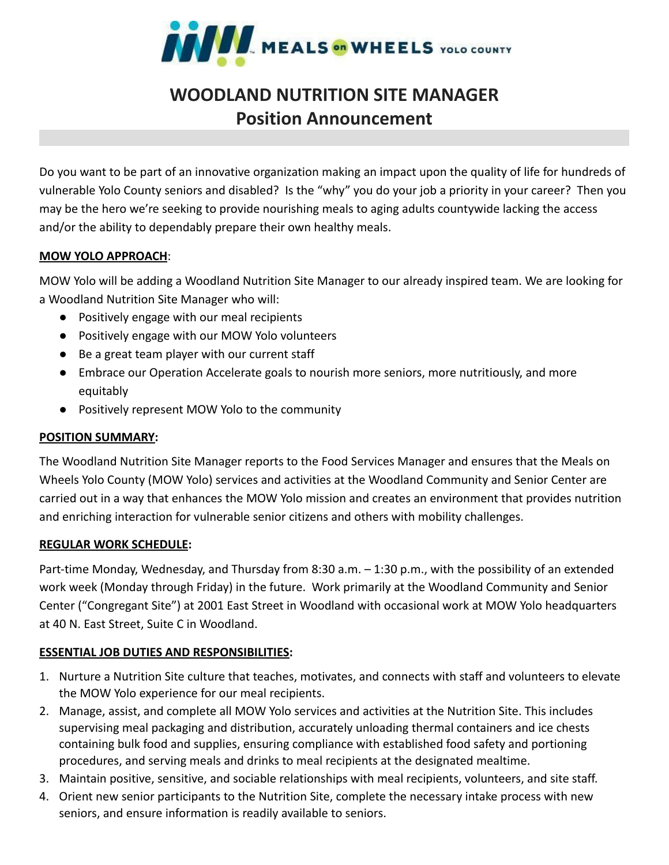

# **WOODLAND NUTRITION SITE MANAGER Position Announcement**

Do you want to be part of an innovative organization making an impact upon the quality of life for hundreds of vulnerable Yolo County seniors and disabled? Is the "why" you do your job a priority in your career? Then you may be the hero we're seeking to provide nourishing meals to aging adults countywide lacking the access and/or the ability to dependably prepare their own healthy meals.

### **MOW YOLO APPROACH**:

MOW Yolo will be adding a Woodland Nutrition Site Manager to our already inspired team. We are looking for a Woodland Nutrition Site Manager who will:

- Positively engage with our meal recipients
- Positively engage with our MOW Yolo volunteers
- Be a great team player with our current staff
- Embrace our Operation Accelerate goals to nourish more seniors, more nutritiously, and more equitably
- Positively represent MOW Yolo to the community

### **POSITION SUMMARY:**

The Woodland Nutrition Site Manager reports to the Food Services Manager and ensures that the Meals on Wheels Yolo County (MOW Yolo) services and activities at the Woodland Community and Senior Center are carried out in a way that enhances the MOW Yolo mission and creates an environment that provides nutrition and enriching interaction for vulnerable senior citizens and others with mobility challenges.

### **REGULAR WORK SCHEDULE:**

Part-time Monday, Wednesday, and Thursday from 8:30 a.m. – 1:30 p.m., with the possibility of an extended work week (Monday through Friday) in the future. Work primarily at the Woodland Community and Senior Center ("Congregant Site") at 2001 East Street in Woodland with occasional work at MOW Yolo headquarters at 40 N. East Street, Suite C in Woodland.

### **ESSENTIAL JOB DUTIES AND RESPONSIBILITIES:**

- 1. Nurture a Nutrition Site culture that teaches, motivates, and connects with staff and volunteers to elevate the MOW Yolo experience for our meal recipients.
- 2. Manage, assist, and complete all MOW Yolo services and activities at the Nutrition Site. This includes supervising meal packaging and distribution, accurately unloading thermal containers and ice chests containing bulk food and supplies, ensuring compliance with established food safety and portioning procedures, and serving meals and drinks to meal recipients at the designated mealtime.
- 3. Maintain positive, sensitive, and sociable relationships with meal recipients, volunteers, and site staff.
- 4. Orient new senior participants to the Nutrition Site, complete the necessary intake process with new seniors, and ensure information is readily available to seniors.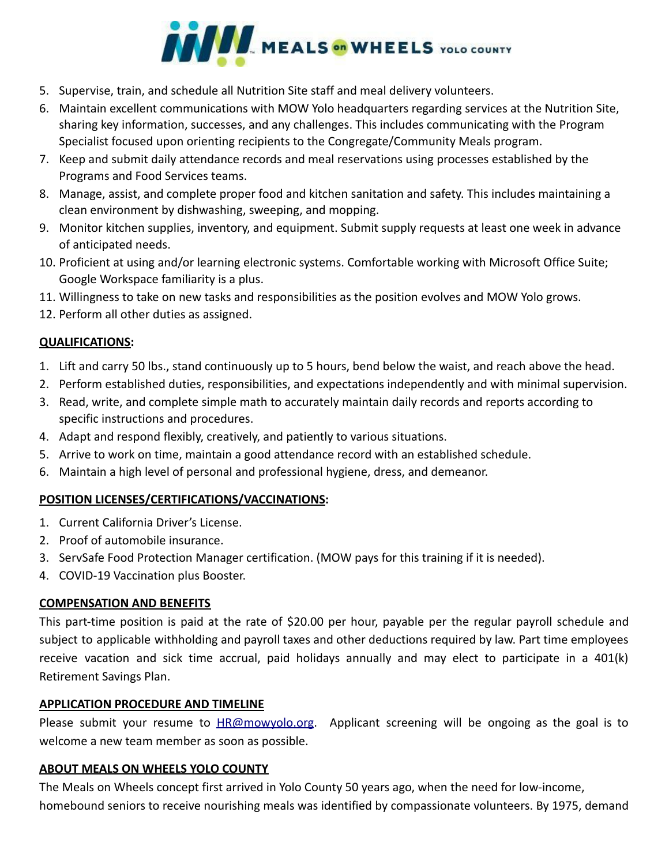

- 5. Supervise, train, and schedule all Nutrition Site staff and meal delivery volunteers.
- 6. Maintain excellent communications with MOW Yolo headquarters regarding services at the Nutrition Site, sharing key information, successes, and any challenges. This includes communicating with the Program Specialist focused upon orienting recipients to the Congregate/Community Meals program.
- 7. Keep and submit daily attendance records and meal reservations using processes established by the Programs and Food Services teams.
- 8. Manage, assist, and complete proper food and kitchen sanitation and safety. This includes maintaining a clean environment by dishwashing, sweeping, and mopping.
- 9. Monitor kitchen supplies, inventory, and equipment. Submit supply requests at least one week in advance of anticipated needs.
- 10. Proficient at using and/or learning electronic systems. Comfortable working with Microsoft Office Suite; Google Workspace familiarity is a plus.
- 11. Willingness to take on new tasks and responsibilities as the position evolves and MOW Yolo grows.
- 12. Perform all other duties as assigned.

### **QUALIFICATIONS:**

- 1. Lift and carry 50 lbs., stand continuously up to 5 hours, bend below the waist, and reach above the head.
- 2. Perform established duties, responsibilities, and expectations independently and with minimal supervision.
- 3. Read, write, and complete simple math to accurately maintain daily records and reports according to specific instructions and procedures.
- 4. Adapt and respond flexibly, creatively, and patiently to various situations.
- 5. Arrive to work on time, maintain a good attendance record with an established schedule.
- 6. Maintain a high level of personal and professional hygiene, dress, and demeanor.

# **POSITION LICENSES/CERTIFICATIONS/VACCINATIONS:**

- 1. Current California Driver's License.
- 2. Proof of automobile insurance.
- 3. ServSafe Food Protection Manager certification. (MOW pays for this training if it is needed).
- 4. COVID-19 Vaccination plus Booster.

### **COMPENSATION AND BENEFITS**

This part-time position is paid at the rate of \$20.00 per hour, payable per the regular payroll schedule and subject to applicable withholding and payroll taxes and other deductions required by law. Part time employees receive vacation and sick time accrual, paid holidays annually and may elect to participate in a 401(k) Retirement Savings Plan.

### **APPLICATION PROCEDURE AND TIMELINE**

Please submit your resume to [HR@mowyolo.org](mailto:HR@mowyolo.org). Applicant screening will be ongoing as the goal is to welcome a new team member as soon as possible.

# **ABOUT MEALS ON WHEELS YOLO COUNTY**

The Meals on Wheels concept first arrived in Yolo County 50 years ago, when the need for low-income, homebound seniors to receive nourishing meals was identified by compassionate volunteers. By 1975, demand